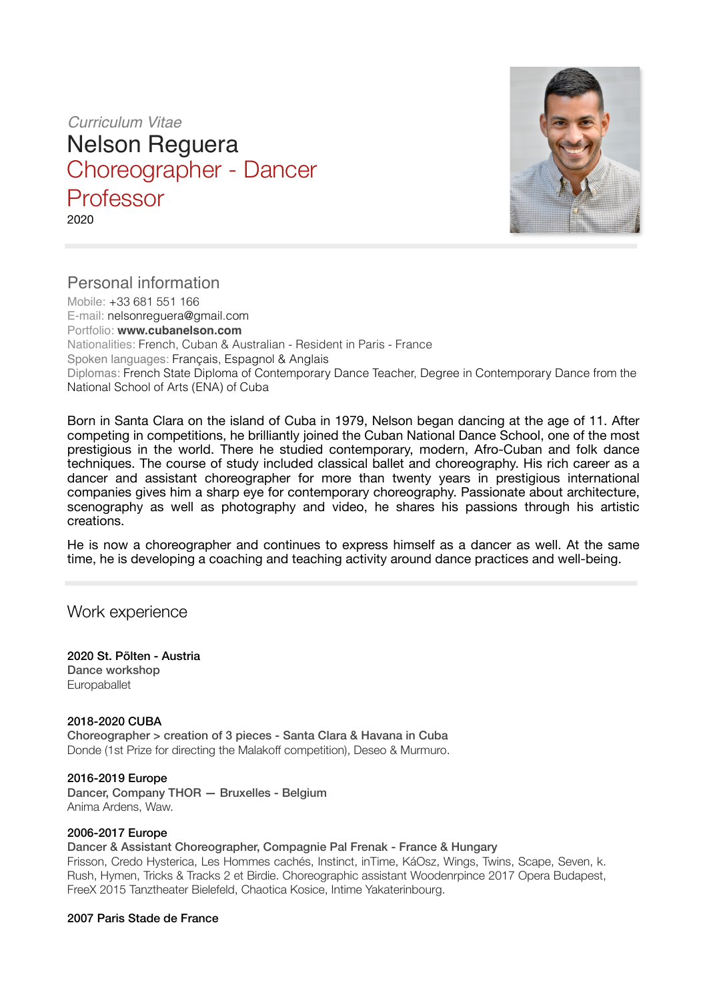*Curriculum Vitae* 

Nelson Reguera Choreographer - Dancer **Professor** 2020



# Personal information

Mobile: +33 681 551 166 E-mail: [nelsonreguera@gmail.com](mailto:nelsonreguera@gmail.com) Portfolio: **[www.cubanelson.com](http://www.cubanelson.com)** Nationalities: French, Cuban & Australian - Resident in Paris - France Spoken languages: Français, Espagnol & Anglais Diplomas: French State Diploma of Contemporary Dance Teacher, Degree in Contemporary Dance from the National School of Arts (ENA) of Cuba

Born in Santa Clara on the island of Cuba in 1979, Nelson began dancing at the age of 11. After competing in competitions, he brilliantly joined the Cuban National Dance School, one of the most prestigious in the world. There he studied contemporary, modern, Afro-Cuban and folk dance techniques. The course of study included classical ballet and choreography. His rich career as a dancer and assistant choreographer for more than twenty years in prestigious international companies gives him a sharp eye for contemporary choreography. Passionate about architecture, scenography as well as photography and video, he shares his passions through his artistic creations.

He is now a choreographer and continues to express himself as a dancer as well. At the same time, he is developing a coaching and teaching activity around dance practices and well-being.

## Work experience

2020 St. Pölten - Austria Dance workshop Europaballet

#### 2018-2020 CUBA Choreographer > creation of 3 pieces - Santa Clara & Havana in Cuba Donde (1st Prize for directing the Malakoff competition), Deseo & Murmuro.

2016-2019 Europe Dancer, Company THOR — Bruxelles - Belgium Anima Ardens, Waw.

## 2006-2017 Europe

## Dancer & Assistant Choreographer, Compagnie Pal Frenak - France & Hungary

Frisson, Credo Hysterica, Les Hommes cachés, Instinct, inTime, KáOsz, Wings, Twins, Scape, Seven, k. Rush, Hymen, Tricks & Tracks 2 et Birdie. Choreographic assistant Woodenrpince 2017 Opera Budapest, FreeX 2015 Tanztheater Bielefeld, Chaotica Kosice, Intime Yakaterinbourg.

## 2007 Paris Stade de France